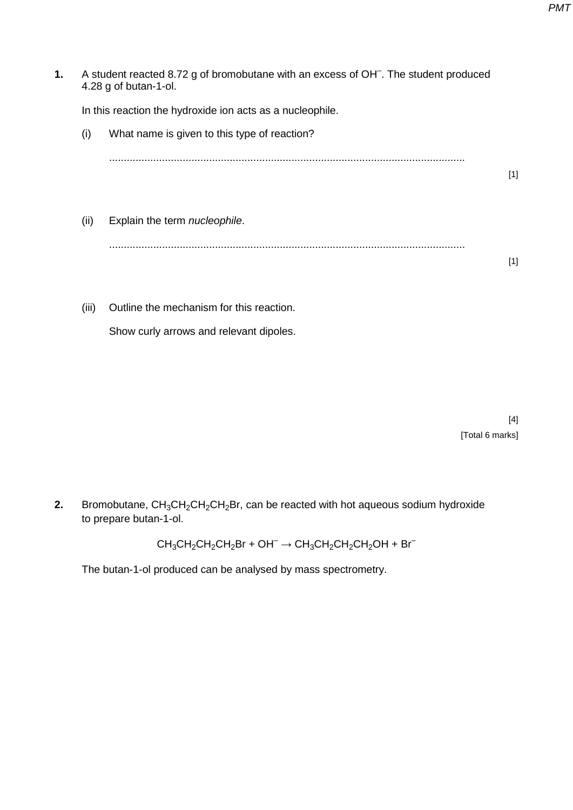1. A student reacted 8.72 g of bromobutane with an excess of OH<sup>-</sup>. The student produced 4.28 g of butan-1-ol. In this reaction the hydroxide ion acts as a nucleophile. (i) What name is given to this type of reaction? ......................................................................................................................... [1] (ii) Explain the term *nucleophile*. .........................................................................................................................

(iii) Outline the mechanism for this reaction. Show curly arrows and relevant dipoles.

> [4] [Total 6 marks]

[1]

**2.** Bromobutane, CH<sub>3</sub>CH<sub>2</sub>CH<sub>2</sub>CH<sub>2</sub>Br, can be reacted with hot aqueous sodium hydroxide to prepare butan-1-ol.

 $CH_3CH_2CH_2CH_2Br + OH^- \rightarrow CH_3CH_2CH_2CH_2OH + Br^-$ 

The butan-1-ol produced can be analysed by mass spectrometry.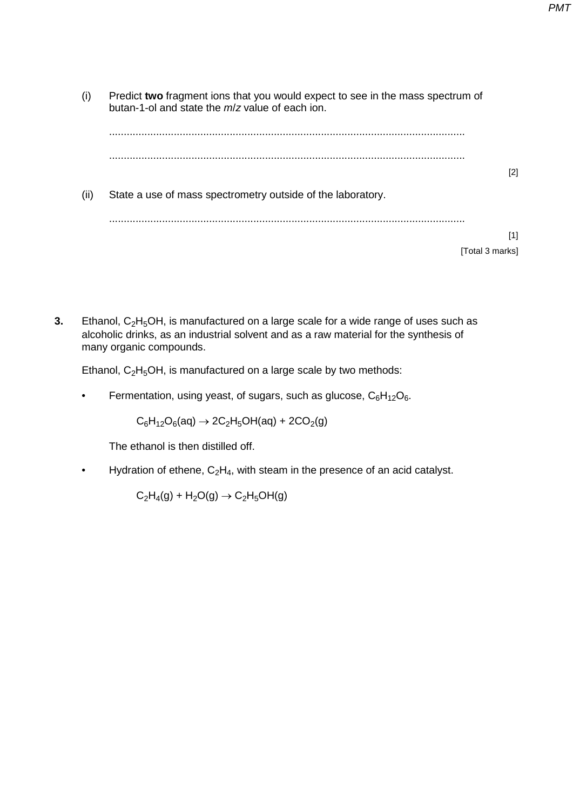- (i) Predict **two** fragment ions that you would expect to see in the mass spectrum of butan-1-ol and state the *m*/*z* value of each ion. ......................................................................................................................... ......................................................................................................................... [2] (ii) State a use of mass spectrometry outside of the laboratory. ......................................................................................................................... [1] [Total 3 marks]
- **3.** Ethanol, C<sub>2</sub>H<sub>5</sub>OH, is manufactured on a large scale for a wide range of uses such as alcoholic drinks, as an industrial solvent and as a raw material for the synthesis of many organic compounds.

Ethanol,  $C_2H_5OH$ , is manufactured on a large scale by two methods:

Fermentation, using yeast, of sugars, such as glucose,  $C_6H_{12}O_6$ .

 $C_6H_{12}O_6(aq) \rightarrow 2C_2H_5OH(aq) + 2CO_2(g)$ 

The ethanol is then distilled off.

• Hydration of ethene,  $C_2H_4$ , with steam in the presence of an acid catalyst.

 $C_2H_4(q) + H_2O(q) \rightarrow C_2H_5OH(q)$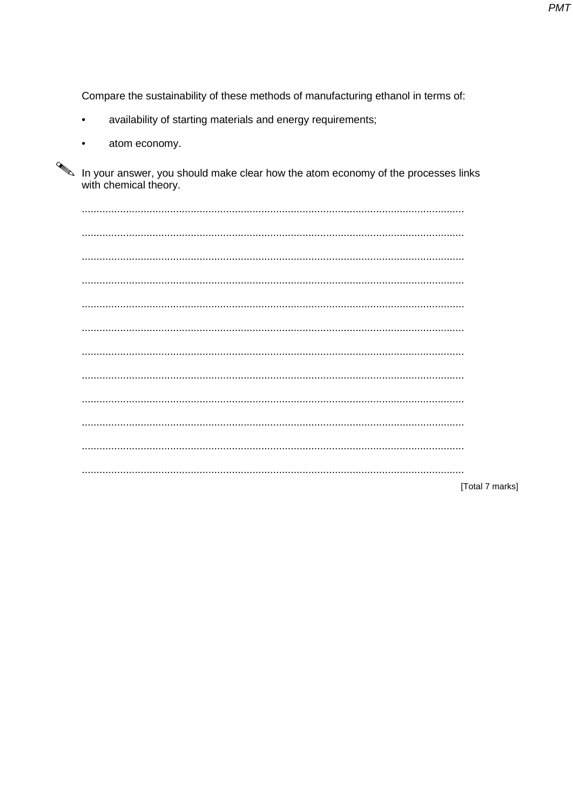**PMT** 

Compare the sustainability of these methods of manufacturing ethanol in terms of:

- availability of starting materials and energy requirements;
- atom economy.

In your answer, you should make clear how the atom economy of the processes links with chemical theory.

[Total 7 marks]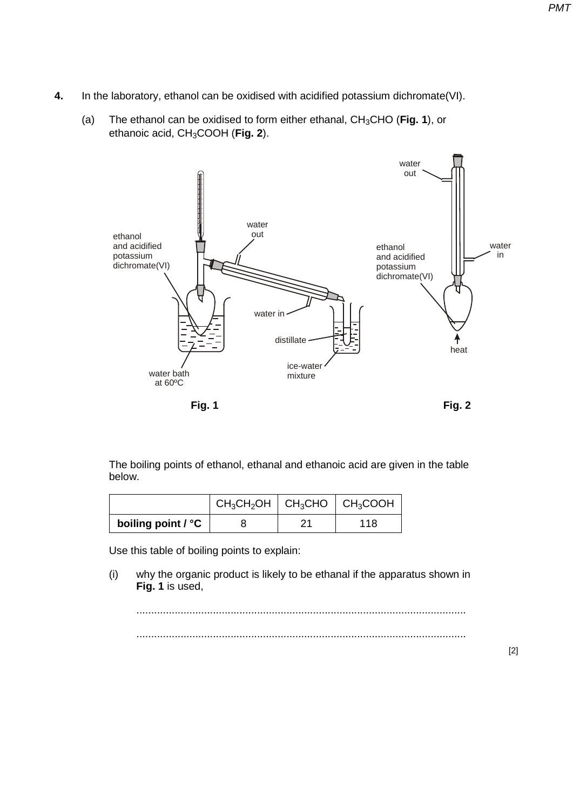- **4.** In the laboratory, ethanol can be oxidised with acidified potassium dichromate(VI).
	- (a) The ethanol can be oxidised to form either ethanal, CH3CHO (**Fig. 1**), or ethanoic acid, CH3COOH (**Fig. 2**).



The boiling points of ethanol, ethanal and ethanoic acid are given in the table below.

|                    | $CH_3CH_2OH$   CH <sub>3</sub> CHO   CH <sub>3</sub> COOH |    |     |
|--------------------|-----------------------------------------------------------|----|-----|
| boiling point / °C |                                                           | າາ | 118 |

Use this table of boiling points to explain:

(i) why the organic product is likely to be ethanal if the apparatus shown in **Fig. 1** is used,

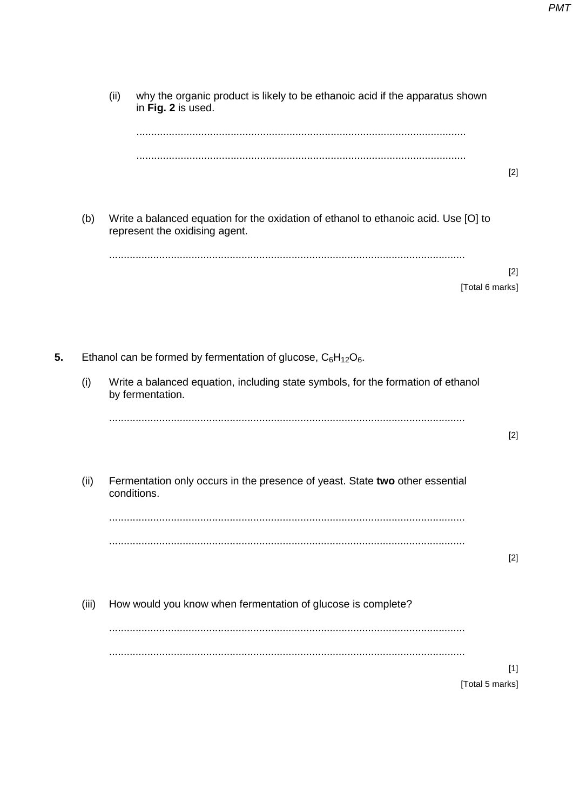(ii) why the organic product is likely to be ethanoic acid if the apparatus shown in **Fig. 2** is used. ................................................................................................................ ................................................................................................................ [2] (b) Write a balanced equation for the oxidation of ethanol to ethanoic acid. Use [O] to represent the oxidising agent. ......................................................................................................................... [2] [Total 6 marks] **5.** Ethanol can be formed by fermentation of glucose,  $C_6H_{12}O_6$ . (i) Write a balanced equation, including state symbols, for the formation of ethanol by fermentation. ......................................................................................................................... [2] (ii) Fermentation only occurs in the presence of yeast. State **two** other essential conditions. ......................................................................................................................... ......................................................................................................................... [2] (iii) How would you know when fermentation of glucose is complete? ......................................................................................................................... ......................................................................................................................... [1] [Total 5 marks]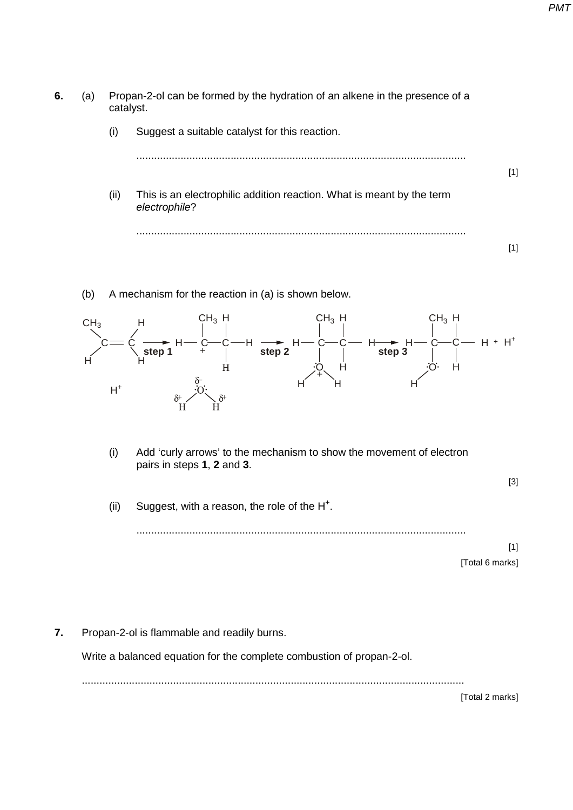- **6.** (a) Propan-2-ol can be formed by the hydration of an alkene in the presence of a catalyst.
	- (i) Suggest a suitable catalyst for this reaction.

|      |                                                                                        | [1] |
|------|----------------------------------------------------------------------------------------|-----|
| (ii) | This is an electrophilic addition reaction. What is meant by the term<br>electrophile? |     |
|      |                                                                                        |     |

(b) A mechanism for the reaction in (a) is shown below.



(i) Add 'curly arrows' to the mechanism to show the movement of electron pairs in steps **1**, **2** and **3**.

[3]

(ii) Suggest, with a reason, the role of the  $H^+$ .

................................................................................................................

[1] [Total 6 marks]

**7.** Propan-2-ol is flammable and readily burns.

Write a balanced equation for the complete combustion of propan-2-ol.

..................................................................................................................................

[Total 2 marks]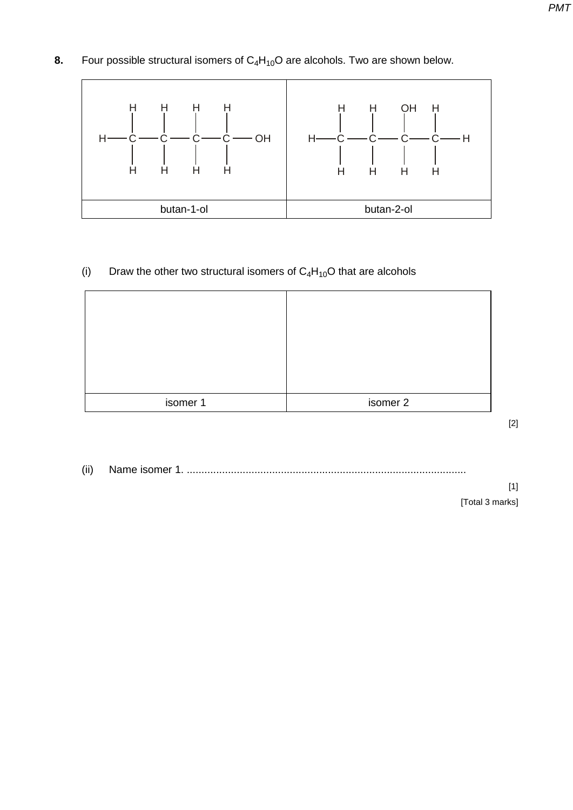**8.** Four possible structural isomers of C<sub>4</sub>H<sub>10</sub>O are alcohols. Two are shown below.



## (i) Draw the other two structural isomers of  $C_4H_{10}O$  that are alcohols

| isomer 1 | isomer 2 |
|----------|----------|

[2]

(ii) Name isomer 1. ...............................................................................................

[1] [Total 3 marks]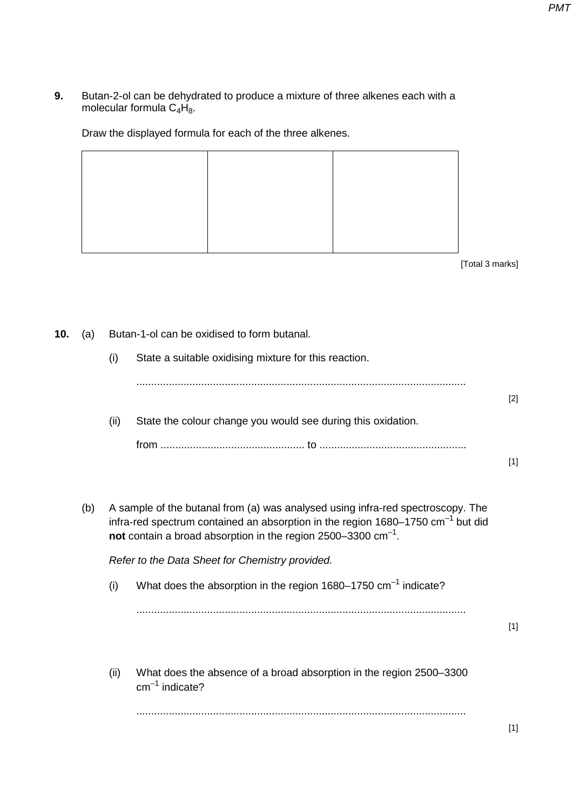**9.** Butan-2-ol can be dehydrated to produce a mixture of three alkenes each with a molecular formula  $C_4H_8$ .

Draw the displayed formula for each of the three alkenes.

[Total 3 marks]

**10.** (a) Butan-1-ol can be oxidised to form butanal. (i) State a suitable oxidising mixture for this reaction. ................................................................................................................ [2] (ii) State the colour change you would see during this oxidation. from ................................................. to ..................................................  $[1]$ (b) A sample of the butanal from (a) was analysed using infra-red spectroscopy. The infra-red spectrum contained an absorption in the region  $1680-1750$  cm<sup>-1</sup> but did **not** contain a broad absorption in the region 2500–3300 cm–1. *Refer to the Data Sheet for Chemistry provided.* (i) What does the absorption in the region 1680–1750  $cm^{-1}$  indicate? ................................................................................................................ [1] (ii) What does the absence of a broad absorption in the region 2500–3300  $cm^{-1}$  indicate? ................................................................................................................ [1]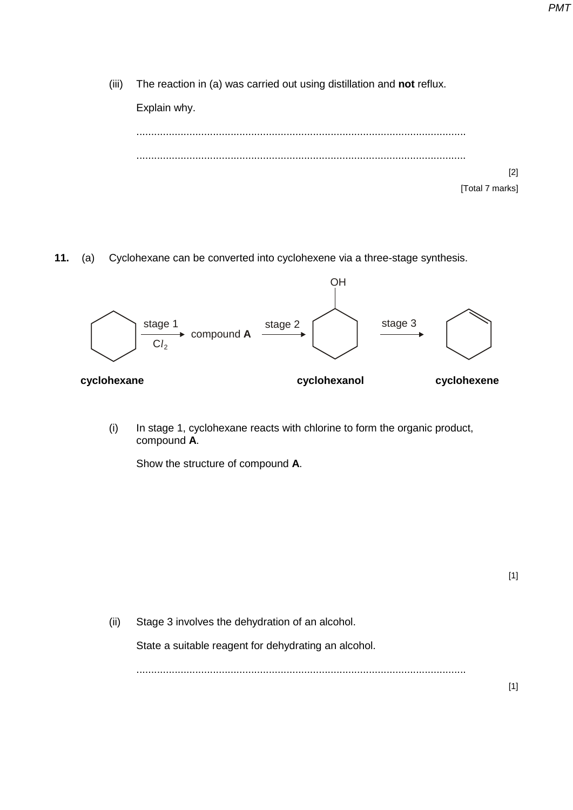(iii) The reaction in (a) was carried out using distillation and **not** reflux.



**11.** (a) Cyclohexane can be converted into cyclohexene via a three-stage synthesis.



(i) In stage 1, cyclohexane reacts with chlorine to form the organic product, compound **A**.

Show the structure of compound **A**.

[1]

(ii) Stage 3 involves the dehydration of an alcohol.

State a suitable reagent for dehydrating an alcohol.

................................................................................................................

[1]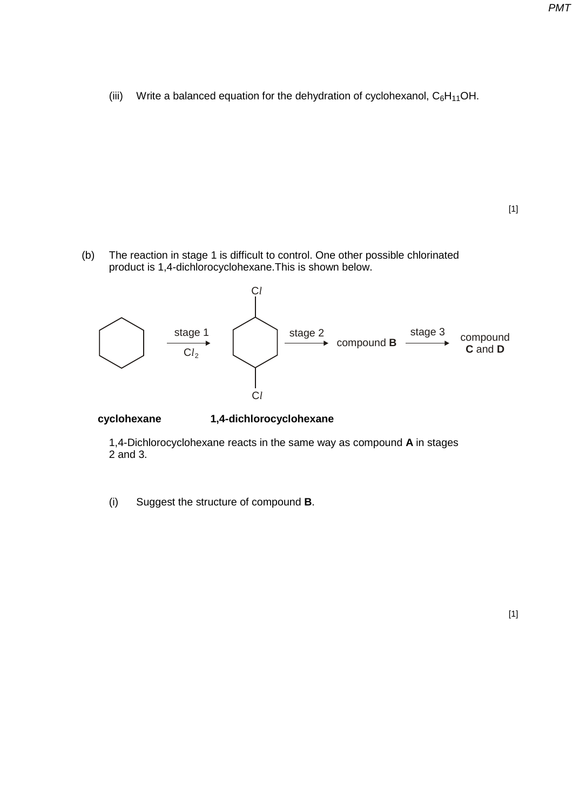(iii) Write a balanced equation for the dehydration of cyclohexanol,  $C_6H_{11}OH$ .

(b) The reaction in stage 1 is difficult to control. One other possible chlorinated product is 1,4-dichlorocyclohexane.This is shown below.



**cyclohexane 1,4-dichlorocyclohexane**

1,4-Dichlorocyclohexane reacts in the same way as compound **A** in stages 2 and 3.

(i) Suggest the structure of compound **B**.

[1]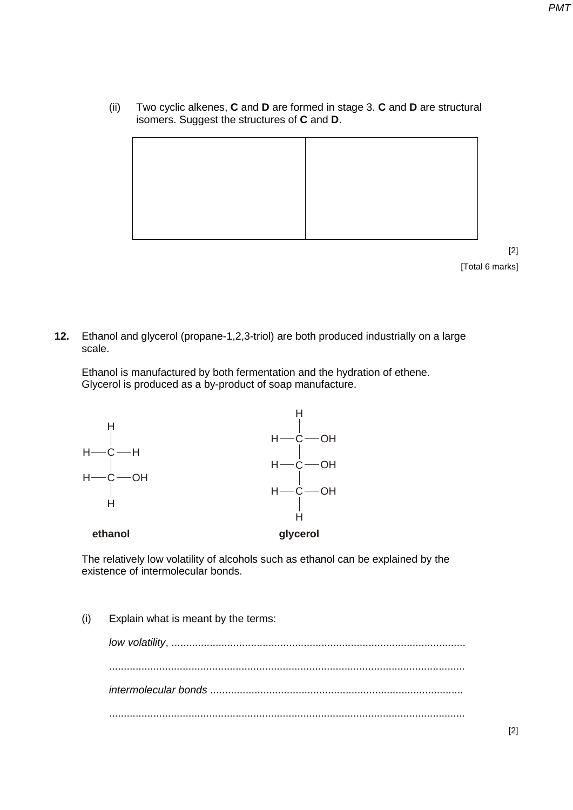(ii) Two cyclic alkenes, **C** and **D** are formed in stage 3. **C** and **D** are structural isomers. Suggest the structures of **C** and **D**.



**12.** Ethanol and glycerol (propane-1,2,3-triol) are both produced industrially on a large scale.

Ethanol is manufactured by both fermentation and the hydration of ethene. Glycerol is produced as a by-product of soap manufacture.



The relatively low volatility of alcohols such as ethanol can be explained by the existence of intermolecular bonds.

(i) Explain what is meant by the terms: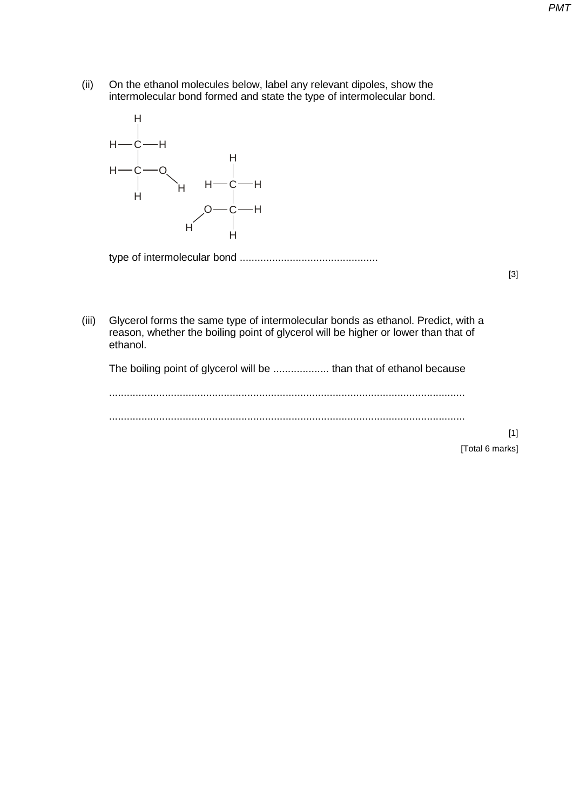(ii) On the ethanol molecules below, label any relevant dipoles, show the intermolecular bond formed and state the type of intermolecular bond.



type of intermolecular bond ...............................................

[3]

(iii) Glycerol forms the same type of intermolecular bonds as ethanol. Predict, with a reason, whether the boiling point of glycerol will be higher or lower than that of ethanol.

The boiling point of glycerol will be ................... than that of ethanol because

.........................................................................................................................

.........................................................................................................................

[1] [Total 6 marks]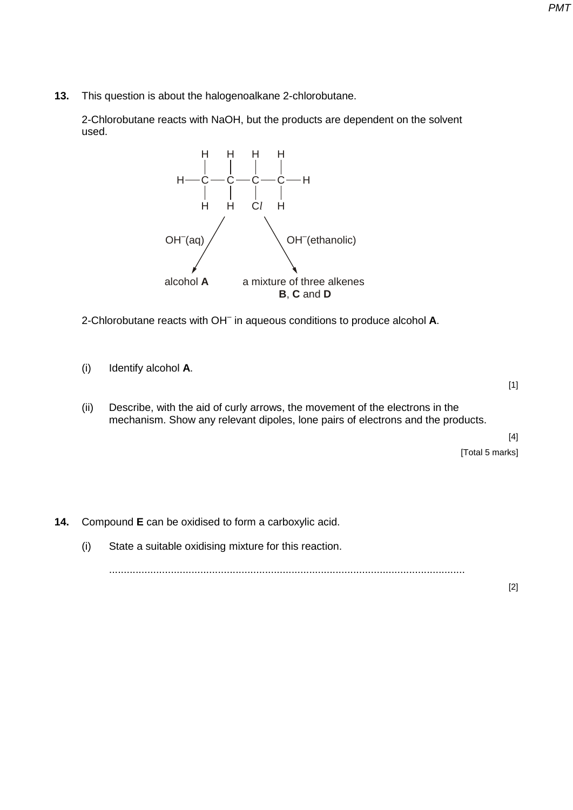**13.** This question is about the halogenoalkane 2-chlorobutane.

 2-Chlorobutane reacts with NaOH, but the products are dependent on the solvent used.



2-Chlorobutane reacts with OH– in aqueous conditions to produce alcohol **A**.

(i) Identify alcohol **A**.

[1]

(ii) Describe, with the aid of curly arrows, the movement of the electrons in the mechanism. Show any relevant dipoles, lone pairs of electrons and the products.

> [4] [Total 5 marks]

- **14.** Compound **E** can be oxidised to form a carboxylic acid.
	- (i) State a suitable oxidising mixture for this reaction.

.........................................................................................................................

[2]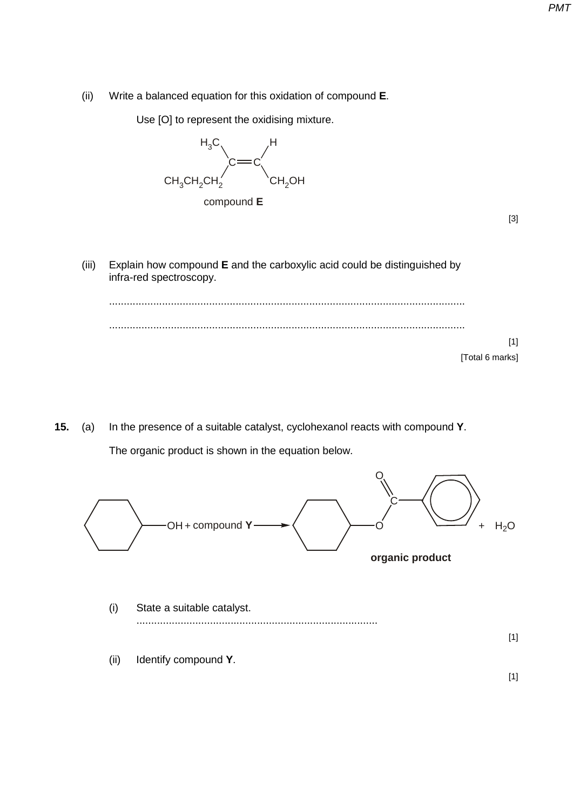(ii) Write a balanced equation for this oxidation of compound **E**.

Use [O] to represent the oxidising mixture.



| ×<br>×<br>I<br>M.<br>۰. |
|-------------------------|
|                         |

[1]

(iii) Explain how compound **E** and the carboxylic acid could be distinguished by infra-red spectroscopy.

......................................................................................................................... ......................................................................................................................... [Total 6 marks]

**15.** (a) In the presence of a suitable catalyst, cyclohexanol reacts with compound **Y**. The organic product is shown in the equation below.



- (i) State a suitable catalyst. ..................................................................................
- (ii) Identify compound **Y**.

[1]

[1]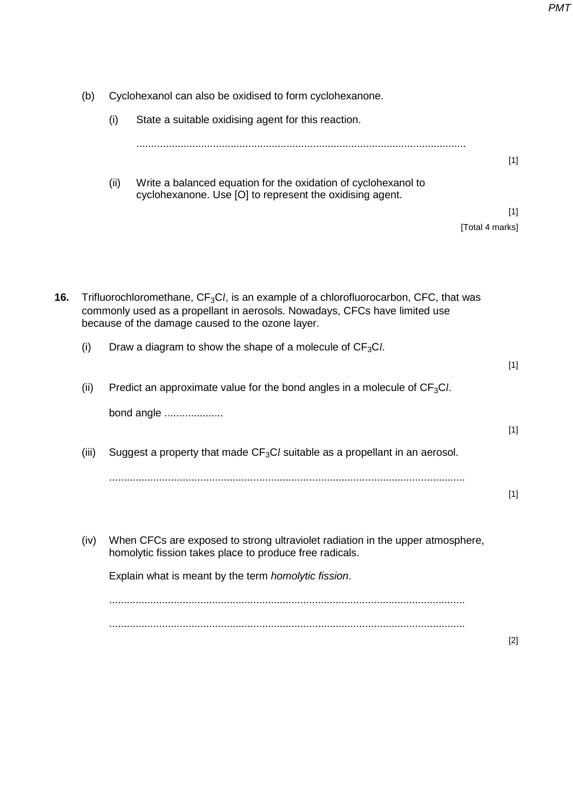| (b)   |      |                                                                                                                            |                                                                                                                                                                                                                                                                                                                                                                                                                                                                                                                                                                                                                                                                                                                                                                     |
|-------|------|----------------------------------------------------------------------------------------------------------------------------|---------------------------------------------------------------------------------------------------------------------------------------------------------------------------------------------------------------------------------------------------------------------------------------------------------------------------------------------------------------------------------------------------------------------------------------------------------------------------------------------------------------------------------------------------------------------------------------------------------------------------------------------------------------------------------------------------------------------------------------------------------------------|
|       | (i)  | State a suitable oxidising agent for this reaction.                                                                        |                                                                                                                                                                                                                                                                                                                                                                                                                                                                                                                                                                                                                                                                                                                                                                     |
|       |      |                                                                                                                            |                                                                                                                                                                                                                                                                                                                                                                                                                                                                                                                                                                                                                                                                                                                                                                     |
|       |      |                                                                                                                            | $[1]$                                                                                                                                                                                                                                                                                                                                                                                                                                                                                                                                                                                                                                                                                                                                                               |
|       | (ii) | Write a balanced equation for the oxidation of cyclohexanol to<br>cyclohexanone. Use [O] to represent the oxidising agent. |                                                                                                                                                                                                                                                                                                                                                                                                                                                                                                                                                                                                                                                                                                                                                                     |
|       |      |                                                                                                                            | $[1]$                                                                                                                                                                                                                                                                                                                                                                                                                                                                                                                                                                                                                                                                                                                                                               |
|       |      |                                                                                                                            |                                                                                                                                                                                                                                                                                                                                                                                                                                                                                                                                                                                                                                                                                                                                                                     |
|       |      |                                                                                                                            |                                                                                                                                                                                                                                                                                                                                                                                                                                                                                                                                                                                                                                                                                                                                                                     |
|       |      |                                                                                                                            |                                                                                                                                                                                                                                                                                                                                                                                                                                                                                                                                                                                                                                                                                                                                                                     |
| (i)   |      |                                                                                                                            |                                                                                                                                                                                                                                                                                                                                                                                                                                                                                                                                                                                                                                                                                                                                                                     |
|       |      |                                                                                                                            | $[1]$                                                                                                                                                                                                                                                                                                                                                                                                                                                                                                                                                                                                                                                                                                                                                               |
| (ii)  |      |                                                                                                                            |                                                                                                                                                                                                                                                                                                                                                                                                                                                                                                                                                                                                                                                                                                                                                                     |
|       |      |                                                                                                                            |                                                                                                                                                                                                                                                                                                                                                                                                                                                                                                                                                                                                                                                                                                                                                                     |
|       |      |                                                                                                                            | $[1]$                                                                                                                                                                                                                                                                                                                                                                                                                                                                                                                                                                                                                                                                                                                                                               |
| (iii) |      |                                                                                                                            |                                                                                                                                                                                                                                                                                                                                                                                                                                                                                                                                                                                                                                                                                                                                                                     |
|       |      |                                                                                                                            | $[1]$                                                                                                                                                                                                                                                                                                                                                                                                                                                                                                                                                                                                                                                                                                                                                               |
| (iv)  |      |                                                                                                                            |                                                                                                                                                                                                                                                                                                                                                                                                                                                                                                                                                                                                                                                                                                                                                                     |
|       |      |                                                                                                                            |                                                                                                                                                                                                                                                                                                                                                                                                                                                                                                                                                                                                                                                                                                                                                                     |
|       |      |                                                                                                                            |                                                                                                                                                                                                                                                                                                                                                                                                                                                                                                                                                                                                                                                                                                                                                                     |
|       |      |                                                                                                                            | $[2]$                                                                                                                                                                                                                                                                                                                                                                                                                                                                                                                                                                                                                                                                                                                                                               |
|       |      |                                                                                                                            | Cyclohexanol can also be oxidised to form cyclohexanone.<br>[Total 4 marks]<br>Trifluorochloromethane, CF <sub>3</sub> Cl, is an example of a chlorofluorocarbon, CFC, that was<br>commonly used as a propellant in aerosols. Nowadays, CFCs have limited use<br>because of the damage caused to the ozone layer.<br>Draw a diagram to show the shape of a molecule of $CF3Cl$ .<br>Predict an approximate value for the bond angles in a molecule of $CF3Cl$ .<br>bond angle<br>Suggest a property that made $CF_3Cl$ suitable as a propellant in an aerosol.<br>When CFCs are exposed to strong ultraviolet radiation in the upper atmosphere,<br>homolytic fission takes place to produce free radicals.<br>Explain what is meant by the term homolytic fission. |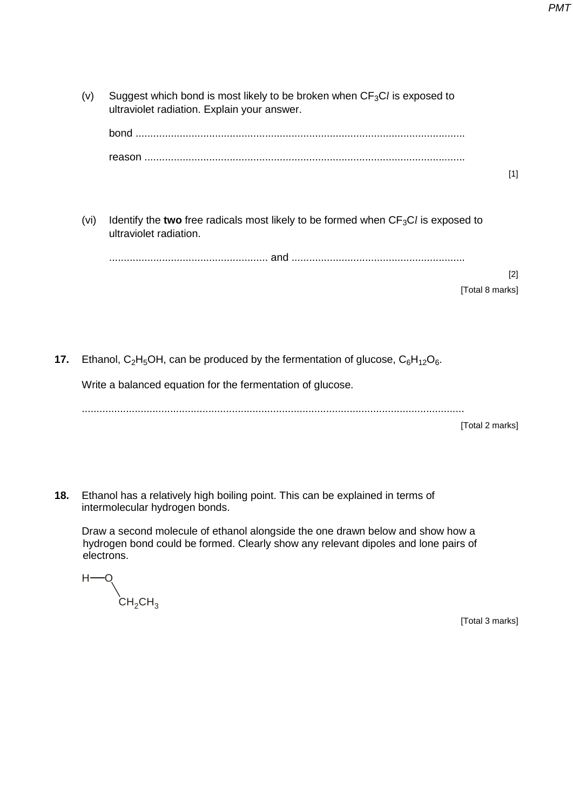- (v) Suggest which bond is most likely to be broken when  $CF_3Cl$  is exposed to ultraviolet radiation. Explain your answer. bond ................................................................................................................ reason ............................................................................................................. [1] (vi) Identify the two free radicals most likely to be formed when  $CF_3Cl$  is exposed to ultraviolet radiation. ...................................................... and ........................................................... [2] [Total 8 marks]
- **17.** Ethanol,  $C_2H_5OH$ , can be produced by the fermentation of glucose,  $C_6H_{12}O_6$ .

Write a balanced equation for the fermentation of glucose.

..................................................................................................................................

[Total 2 marks]

**18.** Ethanol has a relatively high boiling point. This can be explained in terms of intermolecular hydrogen bonds.

Draw a second molecule of ethanol alongside the one drawn below and show how a hydrogen bond could be formed. Clearly show any relevant dipoles and lone pairs of electrons.

 $H \rm \dot{\rm C}H_2$ CH $_3$ 

[Total 3 marks]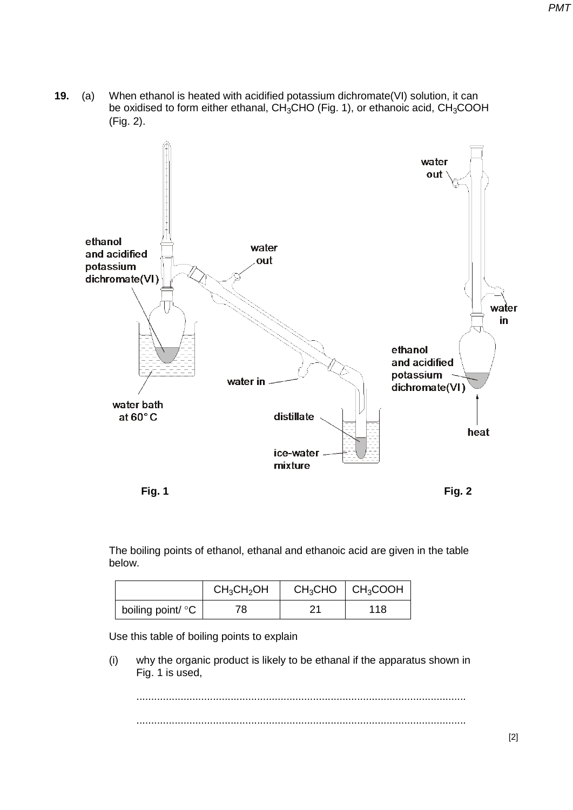**19.** (a) When ethanol is heated with acidified potassium dichromate(VI) solution, it can be oxidised to form either ethanal,  $CH<sub>3</sub>CHO$  (Fig. 1), or ethanoic acid,  $CH<sub>3</sub>COOH$ (Fig. 2).



The boiling points of ethanol, ethanal and ethanoic acid are given in the table below.

|                   | $CH_3CH_2OH$ |    | $CH3CHO$ $CH3COOH$ |
|-------------------|--------------|----|--------------------|
| boiling point/ °C | 78           | 21 | 118                |

Use this table of boiling points to explain

(i) why the organic product is likely to be ethanal if the apparatus shown in Fig. 1 is used,

................................................................................................................ ................................................................................................................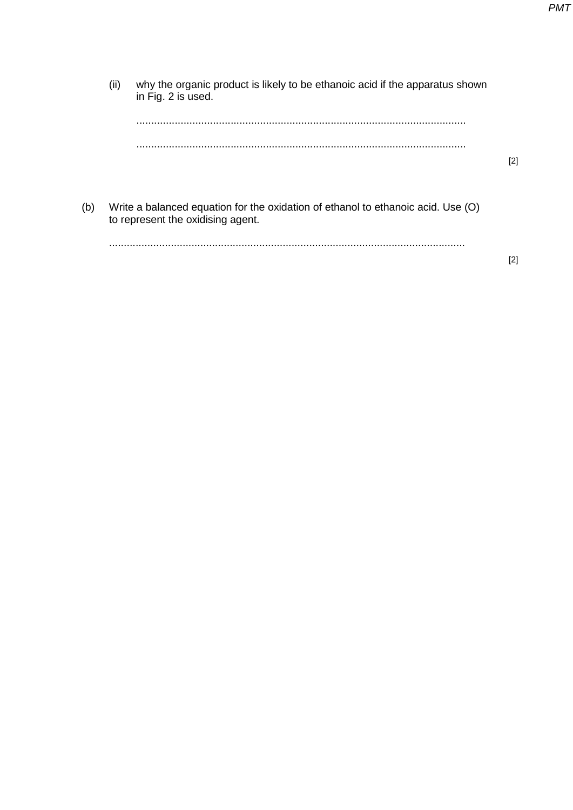(ii) why the organic product is likely to be ethanoic acid if the apparatus shown in Fig. 2 is used. ................................................................................................................ ................................................................................................................ [2] (b) Write a balanced equation for the oxidation of ethanol to ethanoic acid. Use (O) to represent the oxidising agent. .........................................................................................................................

[2]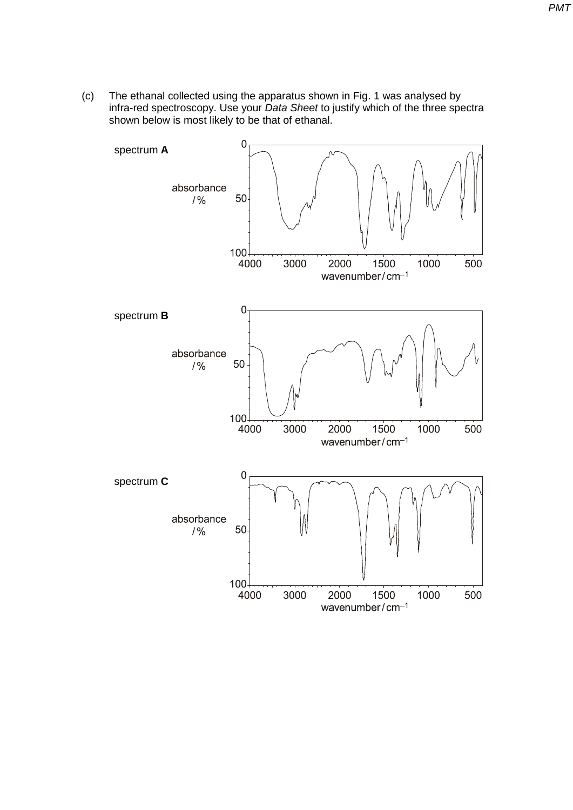(c) The ethanal collected using the apparatus shown in Fig. 1 was analysed by infra-red spectroscopy. Use your *Data Sheet* to justify which of the three spectra shown below is most likely to be that of ethanal.

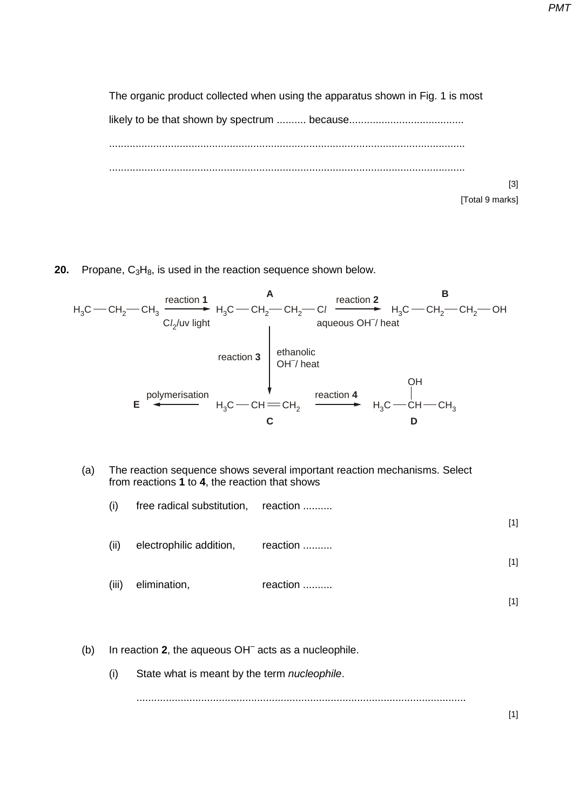The organic product collected when using the apparatus shown in Fig. 1 is most likely to be that shown by spectrum .......... because....................................... ......................................................................................................................... ......................................................................................................................... [3] [Total 9 marks]

**20.** Propane, C<sub>3</sub>H<sub>8</sub>, is used in the reaction sequence shown below.



(a) The reaction sequence shows several important reaction mechanisms. Select from reactions **1** to **4**, the reaction that shows

| (i)   | free radical substitution, reaction |          |       |
|-------|-------------------------------------|----------|-------|
|       |                                     |          | $[1]$ |
| (ii)  | electrophilic addition,             | reaction |       |
|       |                                     |          | $[1]$ |
| (iii) | elimination,                        | reaction |       |
|       |                                     |          | [1]   |

- (b) In reaction **2**, the aqueous OH– acts as a nucleophile.
	- (i) State what is meant by the term *nucleophile*.

................................................................................................................

[1]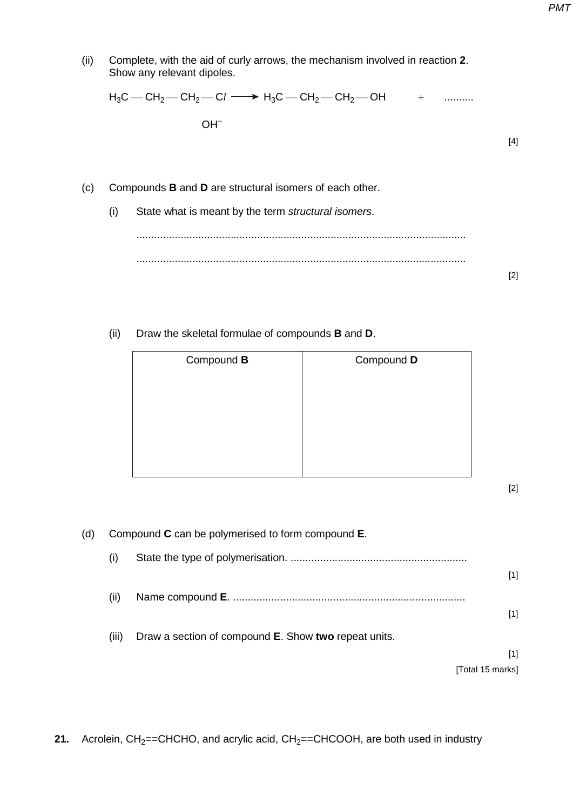| (ii) |     | Complete, with the aid of curly arrows, the mechanism involved in reaction 2.<br>Show any relevant dipoles. |       |
|------|-----|-------------------------------------------------------------------------------------------------------------|-------|
|      |     | $H_3C = CH_2 = CH_2 = CH_2$ $\longrightarrow H_3C = CH_2 = CH_2 = OH$ +                                     |       |
|      |     | $OH-$                                                                                                       |       |
|      |     |                                                                                                             | [4]   |
|      |     |                                                                                                             |       |
| (c)  |     | Compounds <b>B</b> and <b>D</b> are structural isomers of each other.                                       |       |
|      | (i) | State what is meant by the term structural isomers.                                                         |       |
|      |     |                                                                                                             |       |
|      |     |                                                                                                             |       |
|      |     |                                                                                                             | $[2]$ |

(ii) Draw the skeletal formulae of compounds **B** and **D**.

| Compound <b>B</b> | Compound D |  |
|-------------------|------------|--|
|                   |            |  |
|                   |            |  |
|                   |            |  |
|                   |            |  |

[2]

(d) Compound **C** can be polymerised to form compound **E**. (i) State the type of polymerisation. ............................................................ [1] (ii) Name compound **E**. ............................................................................... [1] (iii) Draw a section of compound **E**. Show **two** repeat units. [1] [Total 15 marks]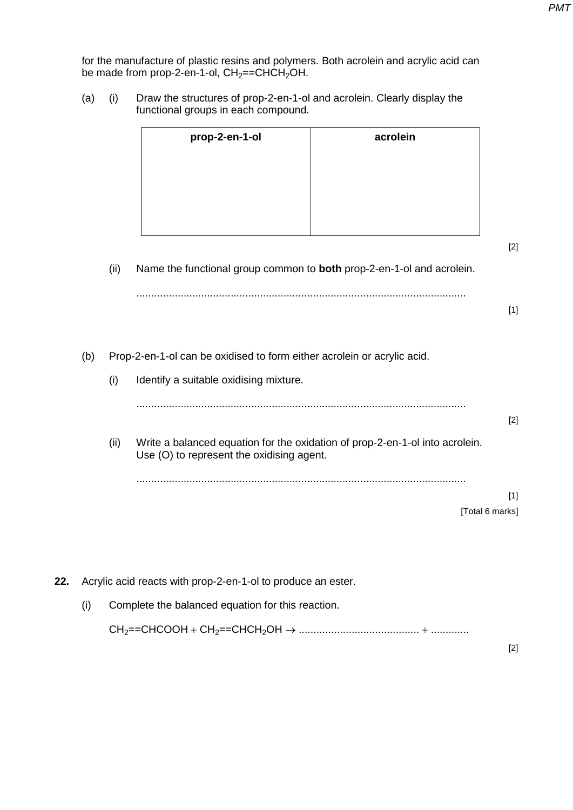for the manufacture of plastic resins and polymers. Both acrolein and acrylic acid can be made from prop-2-en-1-ol,  $CH<sub>2</sub>=CHCH<sub>2</sub>OH$ .

(a) (i) Draw the structures of prop-2-en-1-ol and acrolein. Clearly display the functional groups in each compound.

| acrolein |
|----------|
|          |
|          |
|          |
|          |

[2]

(ii) Name the functional group common to **both** prop-2-en-1-ol and acrolein.

[1]

(b) Prop-2-en-1-ol can be oxidised to form either acrolein or acrylic acid.

(i) Identify a suitable oxidising mixture.

................................................................................................................ [2]

(ii) Write a balanced equation for the oxidation of prop-2-en-1-ol into acrolein. Use (O) to represent the oxidising agent.

................................................................................................................

[1] [Total 6 marks]

- **22.** Acrylic acid reacts with prop-2-en-1-ol to produce an ester.
	- (i) Complete the balanced equation for this reaction.

CH2==CHCOOH + CH2==CHCH2OH → ......................................... + .............

[2]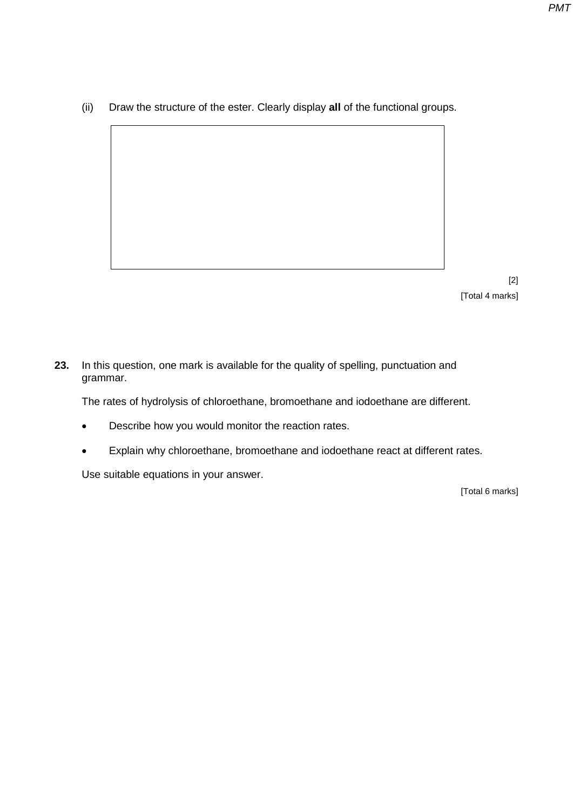(ii) Draw the structure of the ester. Clearly display **all** of the functional groups.

[2] [Total 4 marks]

**23.** In this question, one mark is available for the quality of spelling, punctuation and grammar.

The rates of hydrolysis of chloroethane, bromoethane and iodoethane are different.

- Describe how you would monitor the reaction rates.
- Explain why chloroethane, bromoethane and iodoethane react at different rates.

Use suitable equations in your answer.

[Total 6 marks]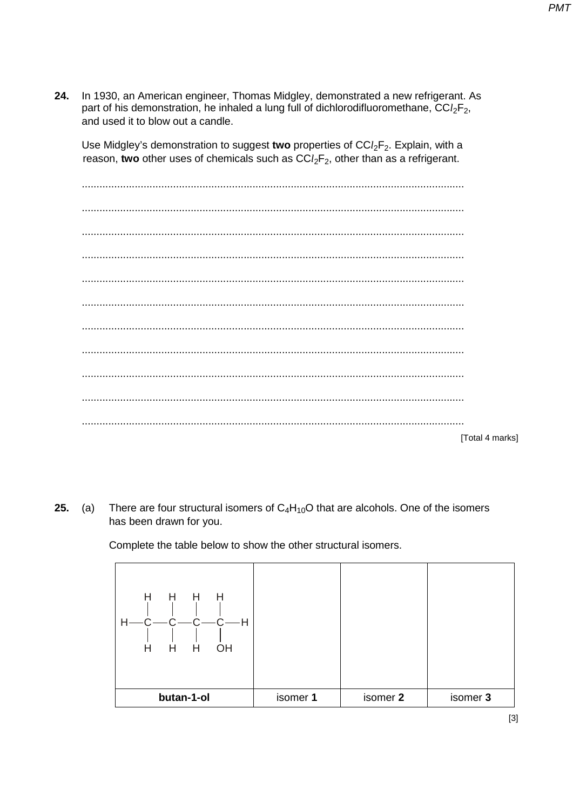In 1930, an American engineer, Thomas Midgley, demonstrated a new refrigerant. As 24. part of his demonstration, he inhaled a lung full of dichlorodifluoromethane,  $CCl_2F_2$ , and used it to blow out a candle.

Use Midgley's demonstration to suggest two properties of  $CCl_2F_2$ . Explain, with a reason, two other uses of chemicals such as  $CCl_2F_2$ , other than as a refrigerant.

**ITotal 4 marksl** 

**PMT** 

There are four structural isomers of  $C_4H_{10}O$  that are alcohols. One of the isomers  $25.$  $(a)$ has been drawn for you.

Complete the table below to show the other structural isomers.

| H<br>Н<br>H<br>H<br>-H<br>Н<br>H<br>H<br>Η<br>OH |          |          |          |
|--------------------------------------------------|----------|----------|----------|
| butan-1-ol                                       | isomer 1 | isomer 2 | isomer 3 |

 $[3]$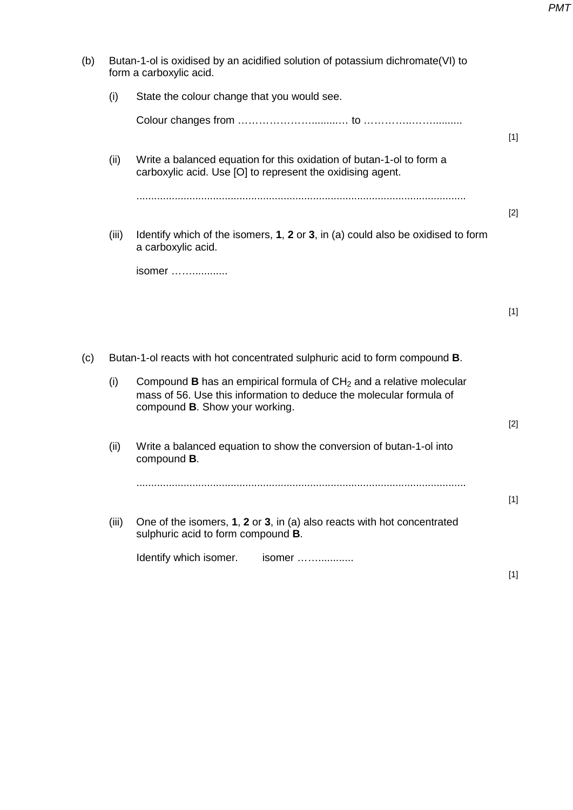(b) Butan-1-ol is oxidised by an acidified solution of potassium dichromate(VI) to form a carboxylic acid. (i) State the colour change that you would see. Colour changes from ………………….........… to …………..…….......... [1] (ii) Write a balanced equation for this oxidation of butan-1-ol to form a carboxylic acid. Use [O] to represent the oxidising agent. ................................................................................................................ [2] (iii) Identify which of the isomers, **1**, **2** or **3**, in (a) could also be oxidised to form a carboxylic acid. isomer ……............ [1] (c) Butan-1-ol reacts with hot concentrated sulphuric acid to form compound **B**. (i) Compound **B** has an empirical formula of  $CH<sub>2</sub>$  and a relative molecular mass of 56. Use this information to deduce the molecular formula of compound **B**. Show your working. [2] (ii) Write a balanced equation to show the conversion of butan-1-ol into compound **B**. ................................................................................................................ [1] (iii) One of the isomers, **1**, **2** or **3**, in (a) also reacts with hot concentrated sulphuric acid to form compound **B**. Identify which isomer. isomer ……............ [1]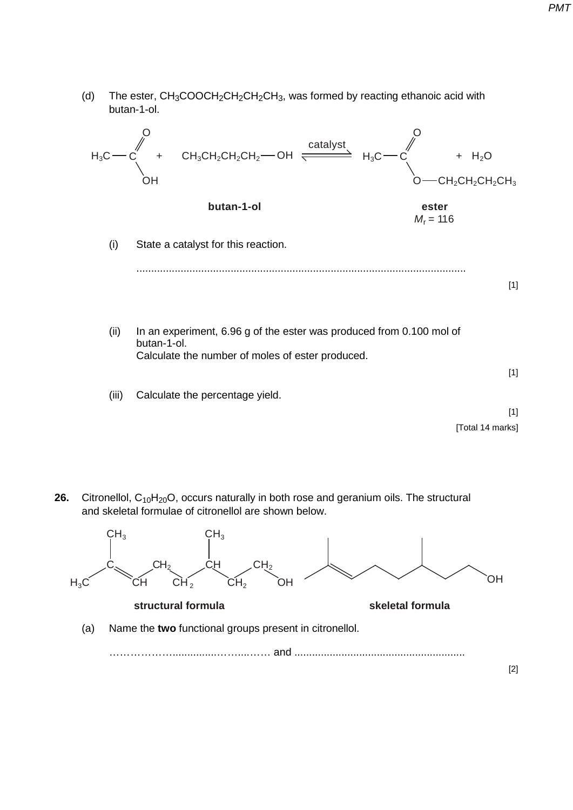(d) The ester,  $CH_3COOCH_2CH_2CH_2CH_3$ , was formed by reacting ethanoic acid with butan-1-ol.



**26.** Citronellol, C<sub>10</sub>H<sub>20</sub>O, occurs naturally in both rose and geranium oils. The structural and skeletal formulae of citronellol are shown below.

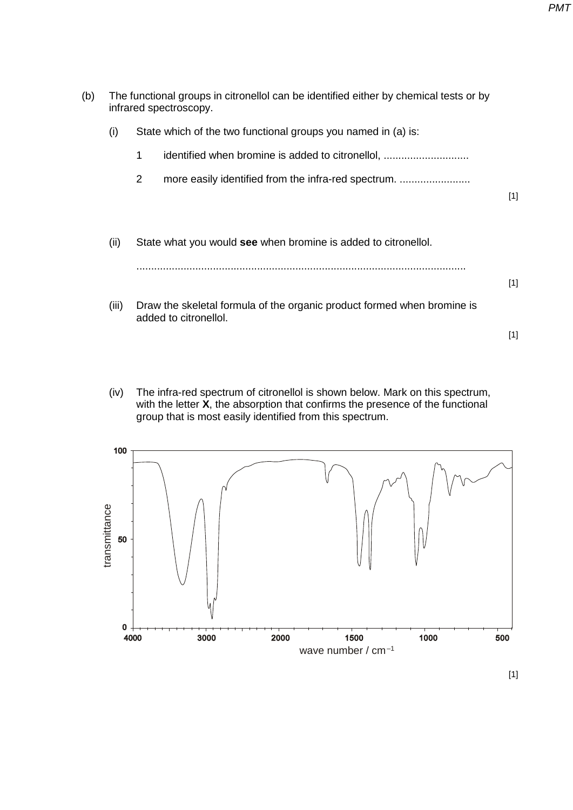| (b) |       | The functional groups in citronellol can be identified either by chemical tests or by<br>infrared spectroscopy. |       |
|-----|-------|-----------------------------------------------------------------------------------------------------------------|-------|
|     | (i)   | State which of the two functional groups you named in (a) is:                                                   |       |
|     |       | identified when bromine is added to citronellol,<br>1                                                           |       |
|     |       | 2<br>more easily identified from the infra-red spectrum.                                                        |       |
|     |       |                                                                                                                 | $[1]$ |
|     |       |                                                                                                                 |       |
|     | (ii)  | State what you would see when bromine is added to citronellol.                                                  |       |
|     |       |                                                                                                                 | $[1]$ |
|     | (iii) | Draw the skeletal formula of the organic product formed when bromine is                                         |       |
|     |       | added to citronellol.                                                                                           |       |
|     |       |                                                                                                                 | $[1]$ |
|     |       |                                                                                                                 |       |

(iv) The infra-red spectrum of citronellol is shown below. Mark on this spectrum, with the letter **X**, the absorption that confirms the presence of the functional group that is most easily identified from this spectrum.

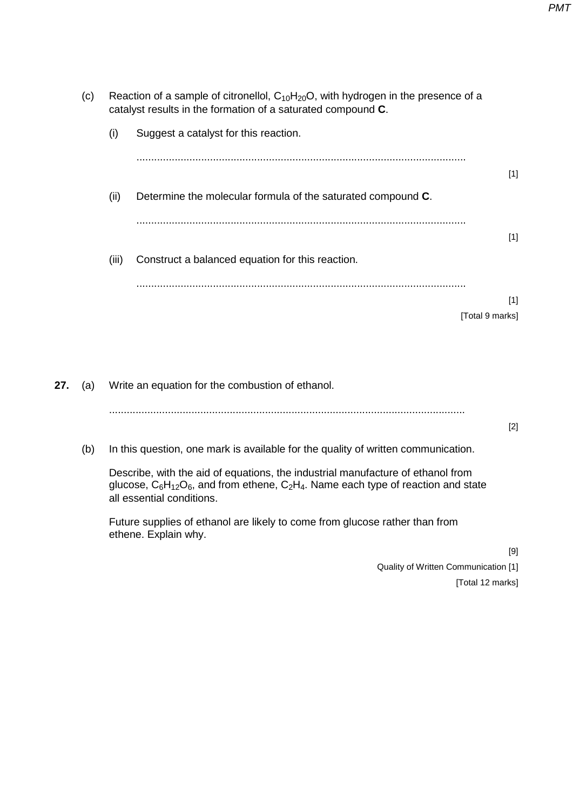| ;) |       | Reaction of a sample of citronellol, $C_{10}H_{20}O$ , with hydrogen in the presence of a<br>catalyst results in the formation of a saturated compound C. |                 |  |
|----|-------|-----------------------------------------------------------------------------------------------------------------------------------------------------------|-----------------|--|
|    | (i)   | Suggest a catalyst for this reaction.                                                                                                                     |                 |  |
|    |       |                                                                                                                                                           | $[1]$           |  |
|    | (ii)  | Determine the molecular formula of the saturated compound C.                                                                                              |                 |  |
|    |       |                                                                                                                                                           | $[1]$           |  |
|    | (iii) | Construct a balanced equation for this reaction.                                                                                                          |                 |  |
|    |       |                                                                                                                                                           | $[1]$           |  |
|    |       |                                                                                                                                                           | [Total 9 marks] |  |
|    |       |                                                                                                                                                           |                 |  |

**27.** (a) Write an equation for the combustion of ethanol. ......................................................................................................................... (b) In this question, one mark is available for the quality of written communication.

> Describe, with the aid of equations, the industrial manufacture of ethanol from glucose,  $C_6H_{12}O_6$ , and from ethene,  $C_2H_4$ . Name each type of reaction and state all essential conditions.

Future supplies of ethanol are likely to come from glucose rather than from ethene. Explain why.

> [9] Quality of Written Communication [1]

[Total 12 marks]

[2]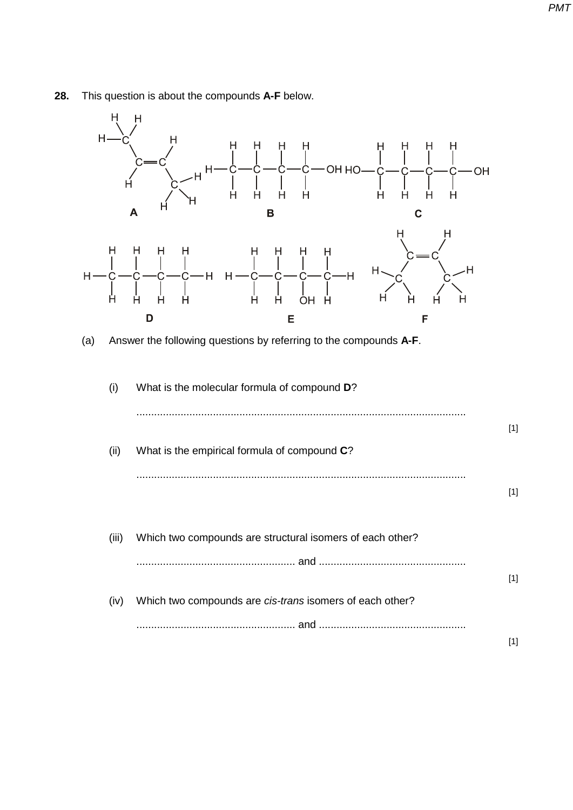

## **28.** This question is about the compounds **A-F** below.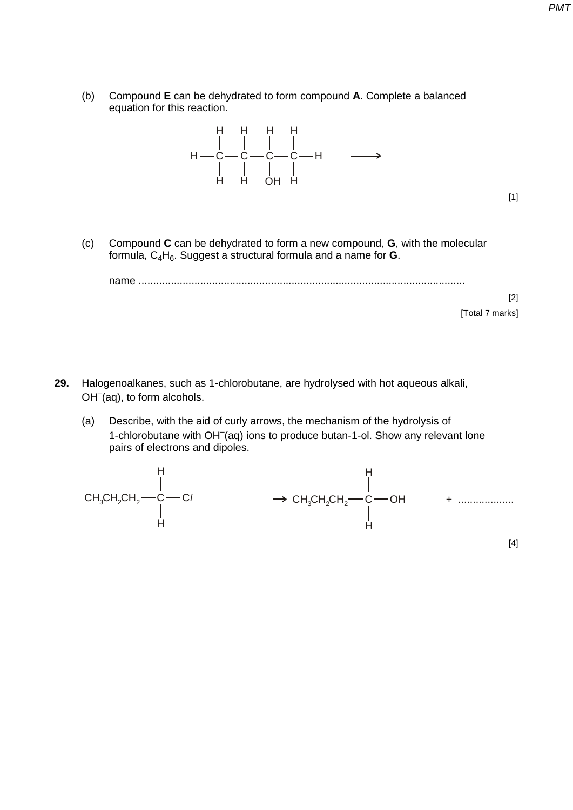(b) Compound **E** can be dehydrated to form compound **A**. Complete a balanced equation for this reaction.



(c) Compound **C** can be dehydrated to form a new compound, **G**, with the molecular formula, C<sub>4</sub>H<sub>6</sub>. Suggest a structural formula and a name for **G**.

name ...............................................................................................................

[2] [Total 7 marks]

[1]

- **29.** Halogenoalkanes, such as 1-chlorobutane, are hydrolysed with hot aqueous alkali, OH<sup>-</sup>(aq), to form alcohols.
	- (a) Describe, with the aid of curly arrows, the mechanism of the hydrolysis of 1-chlorobutane with OH<sup>-</sup>(aq) ions to produce butan-1-ol. Show any relevant lone pairs of electrons and dipoles.

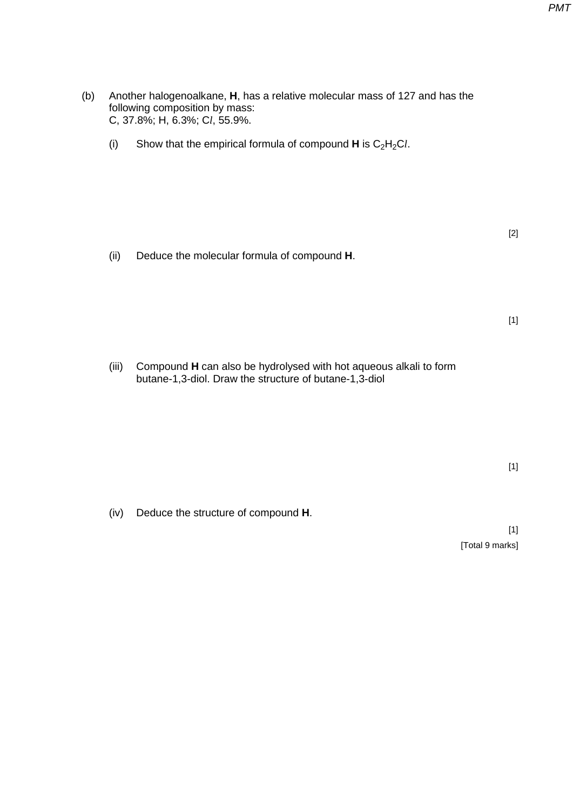(b) Another halogenoalkane, **H**, has a relative molecular mass of 127 and has the following composition by mass: C, 37.8%; H, 6.3%; C*l*, 55.9%.

(i) Show that the empirical formula of compound  $H$  is  $C_2H_2Cl$ .

(ii) Deduce the molecular formula of compound **H**.

(iii) Compound **H** can also be hydrolysed with hot aqueous alkali to form butane-1,3-diol. Draw the structure of butane-1,3-diol

(iv) Deduce the structure of compound **H**.

[1] [Total 9 marks]

[2]

[1]

[1]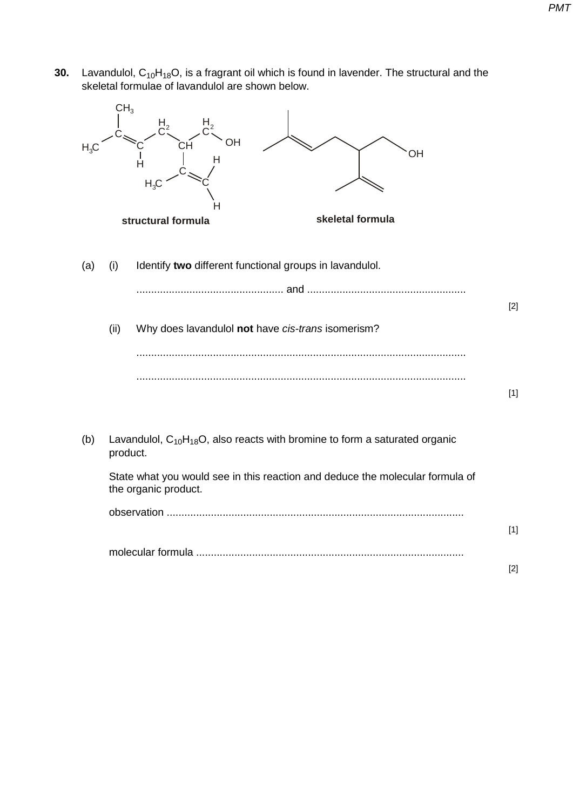**30.** Lavandulol, C<sub>10</sub>H<sub>18</sub>O, is a fragrant oil which is found in lavender. The structural and the skeletal formulae of lavandulol are shown below.

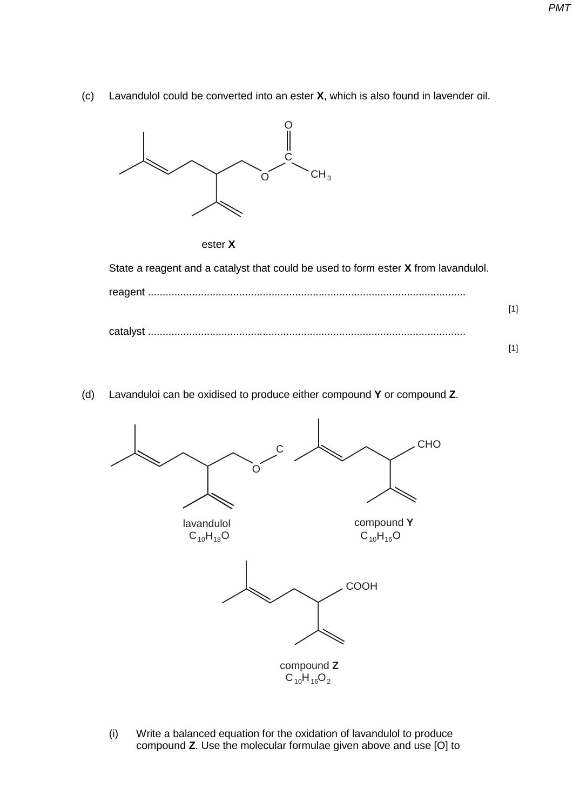(c) Lavandulol could be converted into an ester **X**, which is also found in lavender oil.





State a reagent and a catalyst that could be used to form ester **X** from lavandulol.

| [1] |
|-----|
|     |
|     |

(d) Lavanduloi can be oxidised to produce either compound **Y** or compound **Z**.



(i) Write a balanced equation for the oxidation of lavandulol to produce compound **Z**. Use the molecular formulae given above and use [O] to